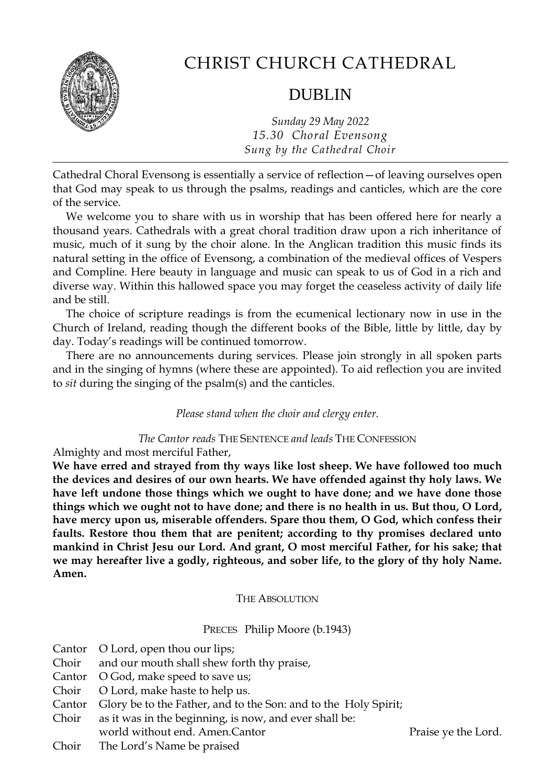

## CHRIST CHURCH CATHEDRAL

## DUBLIN

*Sunday 29 May 2022 15.30 Choral Evensong Sung by the Cathedral Choir*

Cathedral Choral Evensong is essentially a service of reflection—of leaving ourselves open that God may speak to us through the psalms, readings and canticles, which are the core of the service.

We welcome you to share with us in worship that has been offered here for nearly a thousand years. Cathedrals with a great choral tradition draw upon a rich inheritance of music, much of it sung by the choir alone. In the Anglican tradition this music finds its natural setting in the office of Evensong, a combination of the medieval offices of Vespers and Compline. Here beauty in language and music can speak to us of God in a rich and diverse way. Within this hallowed space you may forget the ceaseless activity of daily life and be still.

The choice of scripture readings is from the ecumenical lectionary now in use in the Church of Ireland, reading though the different books of the Bible, little by little, day by day. Today's readings will be continued tomorrow.

There are no announcements during services. Please join strongly in all spoken parts and in the singing of hymns (where these are appointed). To aid reflection you are invited to *sit* during the singing of the psalm(s) and the canticles.

#### *Please stand when the choir and clergy enter.*

#### *The Cantor reads* THE SENTENCE *and leads* THE CONFESSION

Almighty and most merciful Father,

**We have erred and strayed from thy ways like lost sheep. We have followed too much the devices and desires of our own hearts. We have offended against thy holy laws. We have left undone those things which we ought to have done; and we have done those things which we ought not to have done; and there is no health in us. But thou, O Lord, have mercy upon us, miserable offenders. Spare thou them, O God, which confess their faults. Restore thou them that are penitent; according to thy promises declared unto mankind in Christ Jesu our Lord. And grant, O most merciful Father, for his sake; that we may hereafter live a godly, righteous, and sober life, to the glory of thy holy Name. Amen.**

#### THE ABSOLUTION

#### PRECES Philip Moore (b.1943)

|       | Cantor O Lord, open thou our lips;                                     |                     |
|-------|------------------------------------------------------------------------|---------------------|
|       | Choir and our mouth shall shew forth thy praise,                       |                     |
|       | Cantor O God, make speed to save us;                                   |                     |
|       | Choir O Lord, make haste to help us.                                   |                     |
|       | Cantor Glory be to the Father, and to the Son: and to the Holy Spirit; |                     |
|       | Choir as it was in the beginning, is now, and ever shall be:           |                     |
|       | world without end. Amen. Cantor                                        | Praise ye the Lord. |
| Choir | The Lord's Name be praised                                             |                     |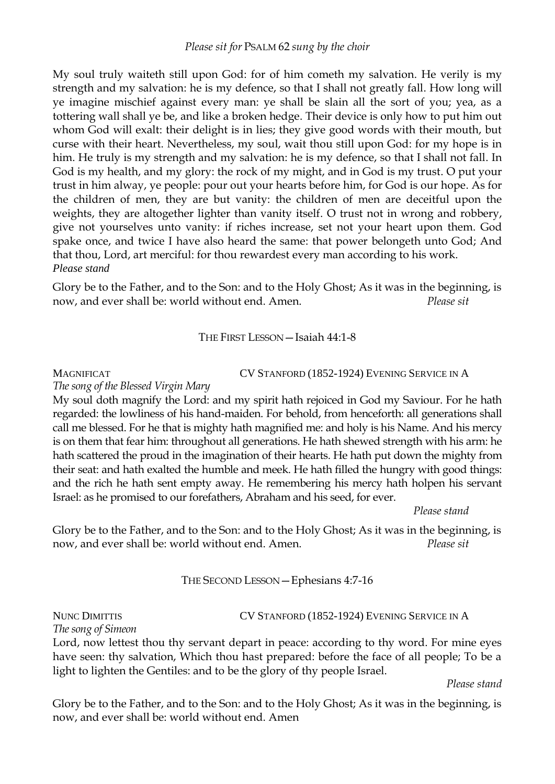My soul truly waiteth still upon God: for of him cometh my salvation. He verily is my strength and my salvation: he is my defence, so that I shall not greatly fall. How long will ye imagine mischief against every man: ye shall be slain all the sort of you; yea, as a tottering wall shall ye be, and like a broken hedge. Their device is only how to put him out whom God will exalt: their delight is in lies; they give good words with their mouth, but curse with their heart. Nevertheless, my soul, wait thou still upon God: for my hope is in him. He truly is my strength and my salvation: he is my defence, so that I shall not fall. In God is my health, and my glory: the rock of my might, and in God is my trust. O put your trust in him alway, ye people: pour out your hearts before him, for God is our hope. As for the children of men, they are but vanity: the children of men are deceitful upon the weights, they are altogether lighter than vanity itself. O trust not in wrong and robbery, give not yourselves unto vanity: if riches increase, set not your heart upon them. God spake once, and twice I have also heard the same: that power belongeth unto God; And that thou, Lord, art merciful: for thou rewardest every man according to his work. *Please stand*

Glory be to the Father, and to the Son: and to the Holy Ghost; As it was in the beginning, is now, and ever shall be: world without end. Amen. *Please sit*

THE FIRST LESSON—Isaiah 44:1-8

MAGNIFICAT CV STANFORD (1852-1924) EVENING SERVICE IN A

*The song of the Blessed Virgin Mary* 

My soul doth magnify the Lord: and my spirit hath rejoiced in God my Saviour. For he hath regarded: the lowliness of his hand-maiden. For behold, from henceforth: all generations shall call me blessed. For he that is mighty hath magnified me: and holy is his Name. And his mercy is on them that fear him: throughout all generations. He hath shewed strength with his arm: he hath scattered the proud in the imagination of their hearts. He hath put down the mighty from their seat: and hath exalted the humble and meek. He hath filled the hungry with good things: and the rich he hath sent empty away. He remembering his mercy hath holpen his servant Israel: as he promised to our forefathers, Abraham and his seed, for ever.

*Please stand*

Glory be to the Father, and to the Son: and to the Holy Ghost; As it was in the beginning, is now, and ever shall be: world without end. Amen. *Please sit*

### THE SECOND LESSON—Ephesians 4:7-16

# *The song of Simeon*

#### NUNC DIMITTIS CV STANFORD (1852-1924) EVENING SERVICE IN A

Lord, now lettest thou thy servant depart in peace: according to thy word. For mine eyes have seen: thy salvation, Which thou hast prepared: before the face of all people; To be a light to lighten the Gentiles: and to be the glory of thy people Israel.

*Please stand*

Glory be to the Father, and to the Son: and to the Holy Ghost; As it was in the beginning, is now, and ever shall be: world without end. Amen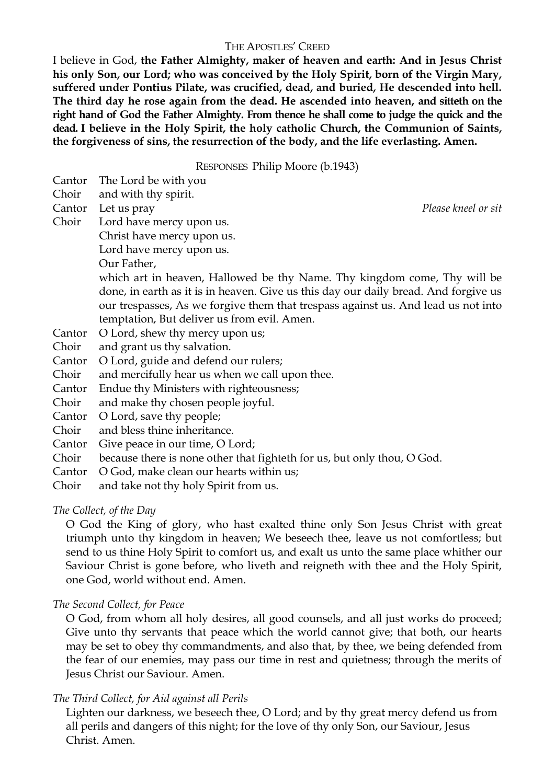#### THE APOSTLES' CREED

I believe in God, **the Father Almighty, maker of heaven and earth: And in Jesus Christ his only Son, our Lord; who was conceived by the Holy Spirit, born of the Virgin Mary, suffered under Pontius Pilate, was crucified, dead, and buried, He descended into hell. The third day he rose again from the dead. He ascended into heaven, and sitteth on the right hand of God the Father Almighty. From thence he shall come to judge the quick and the dead. I believe in the Holy Spirit, the holy catholic Church, the Communion of Saints, the forgiveness of sins, the resurrection of the body, and the life everlasting. Amen.**

RESPONSES Philip Moore (b.1943)

- Choir and with thy spirit.
- Cantor Let us pray *Please kneel or sit*

Choir Lord have mercy upon us.

- Christ have mercy upon us.
- Lord have mercy upon us.
- Our Father,

which art in heaven, Hallowed be thy Name. Thy kingdom come, Thy will be done, in earth as it is in heaven. Give us this day our daily bread. And forgive us our trespasses, As we forgive them that trespass against us. And lead us not into temptation, But deliver us from evil. Amen.

- Cantor O Lord, shew thy mercy upon us;
- Choir and grant us thy salvation.
- Cantor O Lord, guide and defend our rulers;
- Choir and mercifully hear us when we call upon thee.
- Cantor Endue thy Ministers with righteousness;
- Choir and make thy chosen people joyful.
- Cantor O Lord, save thy people;
- Choir and bless thine inheritance.
- Cantor Give peace in our time, O Lord;
- Choir because there is none other that fighteth for us, but only thou, O God.
- Cantor O God, make clean our hearts within us;
- Choir and take not thy holy Spirit from us.

#### *The Collect, of the Day*

O God the King of glory, who hast exalted thine only Son Jesus Christ with great triumph unto thy kingdom in heaven; We beseech thee, leave us not comfortless; but send to us thine Holy Spirit to comfort us, and exalt us unto the same place whither our Saviour Christ is gone before, who liveth and reigneth with thee and the Holy Spirit, one God, world without end. Amen.

#### *The Second Collect, for Peace*

O God, from whom all holy desires, all good counsels, and all just works do proceed; Give unto thy servants that peace which the world cannot give; that both, our hearts may be set to obey thy commandments, and also that, by thee, we being defended from the fear of our enemies, may pass our time in rest and quietness; through the merits of Jesus Christ our Saviour. Amen.

#### *The Third Collect, for Aid against all Perils*

Lighten our darkness, we beseech thee, O Lord; and by thy great mercy defend us from all perils and dangers of this night; for the love of thy only Son, our Saviour, Jesus Christ. Amen.